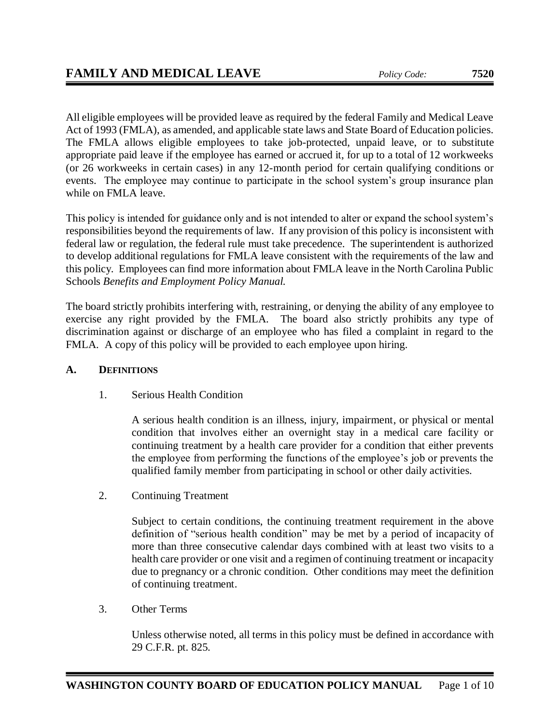All eligible employees will be provided leave as required by the federal Family and Medical Leave Act of 1993 (FMLA), as amended, and applicable state laws and State Board of Education policies. The FMLA allows eligible employees to take job-protected, unpaid leave, or to substitute appropriate paid leave if the employee has earned or accrued it, for up to a total of 12 workweeks (or 26 workweeks in certain cases) in any 12-month period for certain qualifying conditions or events. The employee may continue to participate in the school system's group insurance plan while on FMLA leave.

This policy is intended for guidance only and is not intended to alter or expand the school system's responsibilities beyond the requirements of law. If any provision of this policy is inconsistent with federal law or regulation, the federal rule must take precedence. The superintendent is authorized to develop additional regulations for FMLA leave consistent with the requirements of the law and this policy. Employees can find more information about FMLA leave in the North Carolina Public Schools *Benefits and Employment Policy Manual.*

The board strictly prohibits interfering with, restraining, or denying the ability of any employee to exercise any right provided by the FMLA. The board also strictly prohibits any type of discrimination against or discharge of an employee who has filed a complaint in regard to the FMLA. A copy of this policy will be provided to each employee upon hiring.

# **A. DEFINITIONS**

1. Serious Health Condition

A serious health condition is an illness, injury, impairment, or physical or mental condition that involves either an overnight stay in a medical care facility or continuing treatment by a health care provider for a condition that either prevents the employee from performing the functions of the employee's job or prevents the qualified family member from participating in school or other daily activities.

2. Continuing Treatment

Subject to certain conditions, the continuing treatment requirement in the above definition of "serious health condition" may be met by a period of incapacity of more than three consecutive calendar days combined with at least two visits to a health care provider or one visit and a regimen of continuing treatment or incapacity due to pregnancy or a chronic condition. Other conditions may meet the definition of continuing treatment.

3. Other Terms

Unless otherwise noted, all terms in this policy must be defined in accordance with 29 C.F.R. pt. 825.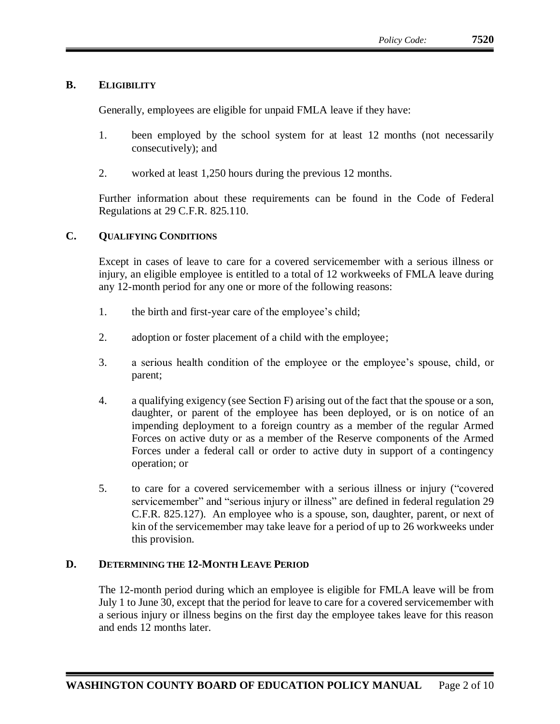# **B. ELIGIBILITY**

Generally, employees are eligible for unpaid FMLA leave if they have:

- 1. been employed by the school system for at least 12 months (not necessarily consecutively); and
- 2. worked at least 1,250 hours during the previous 12 months.

Further information about these requirements can be found in the Code of Federal Regulations at 29 C.F.R. 825.110.

# **C. QUALIFYING CONDITIONS**

Except in cases of leave to care for a covered servicemember with a serious illness or injury, an eligible employee is entitled to a total of 12 workweeks of FMLA leave during any 12-month period for any one or more of the following reasons:

- 1. the birth and first-year care of the employee's child;
- 2. adoption or foster placement of a child with the employee;
- 3. a serious health condition of the employee or the employee's spouse, child, or parent;
- 4. a qualifying exigency (see Section F) arising out of the fact that the spouse or a son, daughter, or parent of the employee has been deployed, or is on notice of an impending deployment to a foreign country as a member of the regular Armed Forces on active duty or as a member of the Reserve components of the Armed Forces under a federal call or order to active duty in support of a contingency operation; or
- 5. to care for a covered servicemember with a serious illness or injury ("covered servicemember" and "serious injury or illness" are defined in federal regulation 29 C.F.R. 825.127). An employee who is a spouse, son, daughter, parent, or next of kin of the servicemember may take leave for a period of up to 26 workweeks under this provision.

# **D. DETERMINING THE 12-MONTH LEAVE PERIOD**

The 12-month period during which an employee is eligible for FMLA leave will be from July 1 to June 30, except that the period for leave to care for a covered servicemember with a serious injury or illness begins on the first day the employee takes leave for this reason and ends 12 months later.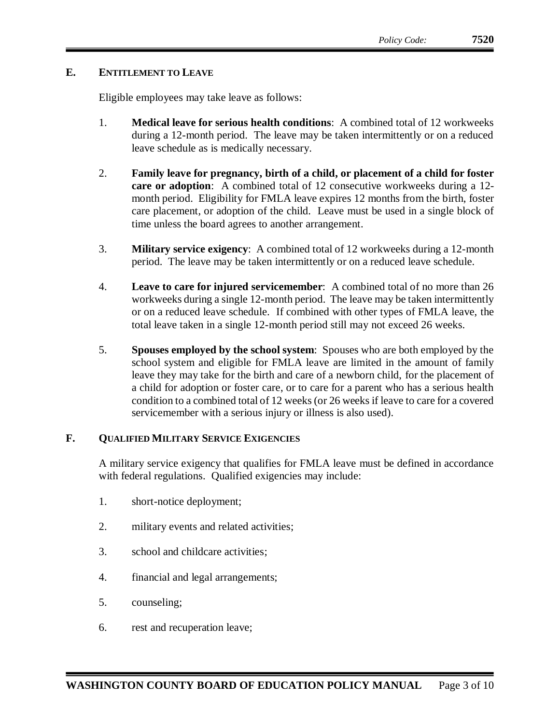# **E. ENTITLEMENT TO LEAVE**

Eligible employees may take leave as follows:

- 1. **Medical leave for serious health conditions**: A combined total of 12 workweeks during a 12-month period. The leave may be taken intermittently or on a reduced leave schedule as is medically necessary.
- 2. **Family leave for pregnancy, birth of a child, or placement of a child for foster care or adoption**: A combined total of 12 consecutive workweeks during a 12 month period. Eligibility for FMLA leave expires 12 months from the birth, foster care placement, or adoption of the child. Leave must be used in a single block of time unless the board agrees to another arrangement.
- 3. **Military service exigency**:A combined total of 12 workweeks during a 12-month period. The leave may be taken intermittently or on a reduced leave schedule.
- 4. **Leave to care for injured servicemember**: A combined total of no more than 26 workweeks during a single 12-month period. The leave may be taken intermittently or on a reduced leave schedule. If combined with other types of FMLA leave, the total leave taken in a single 12-month period still may not exceed 26 weeks.
- 5. **Spouses employed by the school system**: Spouses who are both employed by the school system and eligible for FMLA leave are limited in the amount of family leave they may take for the birth and care of a newborn child, for the placement of a child for adoption or foster care, or to care for a parent who has a serious health condition to a combined total of 12 weeks (or 26 weeks if leave to care for a covered servicemember with a serious injury or illness is also used).

### **F. QUALIFIED MILITARY SERVICE EXIGENCIES**

A military service exigency that qualifies for FMLA leave must be defined in accordance with federal regulations. Qualified exigencies may include:

- 1. short-notice deployment;
- 2. military events and related activities;
- 3. school and childcare activities;
- 4. financial and legal arrangements;
- 5. counseling;
- 6. rest and recuperation leave;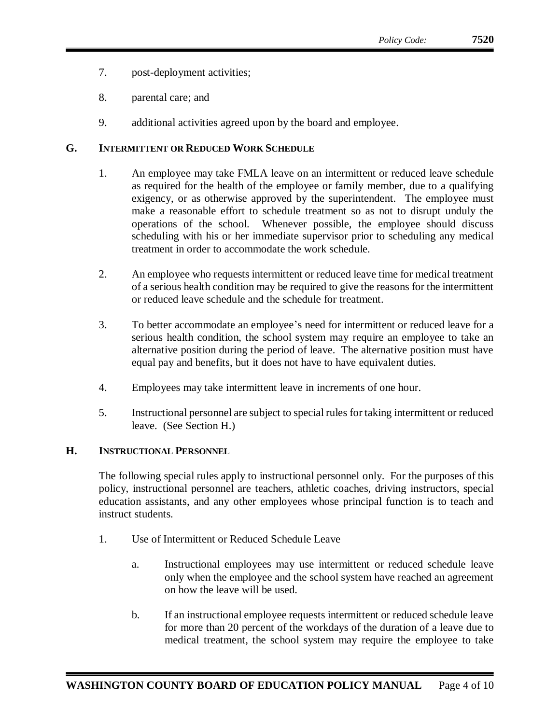- 7. post-deployment activities;
- 8. parental care; and
- 9. additional activities agreed upon by the board and employee.

### **G. INTERMITTENT OR REDUCED WORK SCHEDULE**

- 1. An employee may take FMLA leave on an intermittent or reduced leave schedule as required for the health of the employee or family member, due to a qualifying exigency, or as otherwise approved by the superintendent. The employee must make a reasonable effort to schedule treatment so as not to disrupt unduly the operations of the school. Whenever possible, the employee should discuss scheduling with his or her immediate supervisor prior to scheduling any medical treatment in order to accommodate the work schedule.
- 2. An employee who requests intermittent or reduced leave time for medical treatment of a serious health condition may be required to give the reasons for the intermittent or reduced leave schedule and the schedule for treatment.
- 3. To better accommodate an employee's need for intermittent or reduced leave for a serious health condition, the school system may require an employee to take an alternative position during the period of leave. The alternative position must have equal pay and benefits, but it does not have to have equivalent duties.
- 4. Employees may take intermittent leave in increments of one hour.
- 5. Instructional personnel are subject to special rules for taking intermittent or reduced leave. (See Section H.)

# **H. INSTRUCTIONAL PERSONNEL**

The following special rules apply to instructional personnel only. For the purposes of this policy, instructional personnel are teachers, athletic coaches, driving instructors, special education assistants, and any other employees whose principal function is to teach and instruct students.

- 1. Use of Intermittent or Reduced Schedule Leave
	- a. Instructional employees may use intermittent or reduced schedule leave only when the employee and the school system have reached an agreement on how the leave will be used.
	- b. If an instructional employee requests intermittent or reduced schedule leave for more than 20 percent of the workdays of the duration of a leave due to medical treatment, the school system may require the employee to take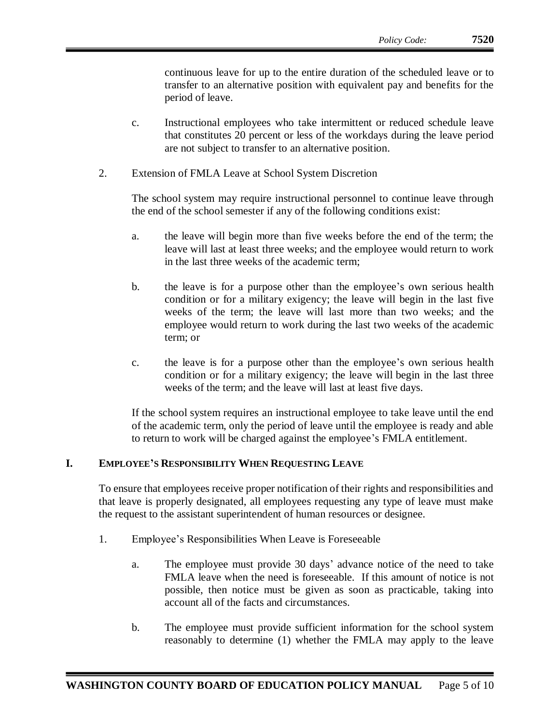continuous leave for up to the entire duration of the scheduled leave or to transfer to an alternative position with equivalent pay and benefits for the period of leave.

- c. Instructional employees who take intermittent or reduced schedule leave that constitutes 20 percent or less of the workdays during the leave period are not subject to transfer to an alternative position.
- 2. Extension of FMLA Leave at School System Discretion

The school system may require instructional personnel to continue leave through the end of the school semester if any of the following conditions exist:

- a. the leave will begin more than five weeks before the end of the term; the leave will last at least three weeks; and the employee would return to work in the last three weeks of the academic term;
- b. the leave is for a purpose other than the employee's own serious health condition or for a military exigency; the leave will begin in the last five weeks of the term; the leave will last more than two weeks; and the employee would return to work during the last two weeks of the academic term; or
- c. the leave is for a purpose other than the employee's own serious health condition or for a military exigency; the leave will begin in the last three weeks of the term; and the leave will last at least five days.

If the school system requires an instructional employee to take leave until the end of the academic term, only the period of leave until the employee is ready and able to return to work will be charged against the employee's FMLA entitlement.

### **I. EMPLOYEE'S RESPONSIBILITY WHEN REQUESTING LEAVE**

To ensure that employees receive proper notification of their rights and responsibilities and that leave is properly designated, all employees requesting any type of leave must make the request to the assistant superintendent of human resources or designee.

- 1. Employee's Responsibilities When Leave is Foreseeable
	- a. The employee must provide 30 days' advance notice of the need to take FMLA leave when the need is foreseeable. If this amount of notice is not possible, then notice must be given as soon as practicable, taking into account all of the facts and circumstances.
	- b. The employee must provide sufficient information for the school system reasonably to determine (1) whether the FMLA may apply to the leave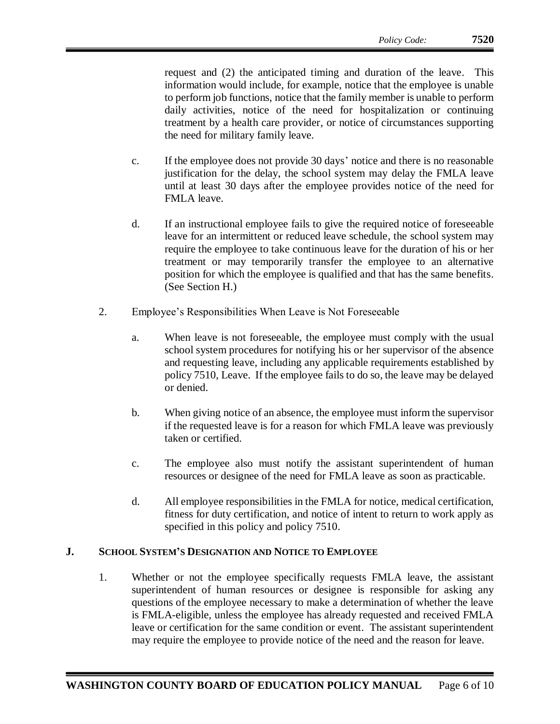request and (2) the anticipated timing and duration of the leave. This information would include, for example, notice that the employee is unable to perform job functions, notice that the family member is unable to perform daily activities, notice of the need for hospitalization or continuing treatment by a health care provider, or notice of circumstances supporting the need for military family leave.

- c. If the employee does not provide 30 days' notice and there is no reasonable justification for the delay, the school system may delay the FMLA leave until at least 30 days after the employee provides notice of the need for FMLA leave.
- d. If an instructional employee fails to give the required notice of foreseeable leave for an intermittent or reduced leave schedule, the school system may require the employee to take continuous leave for the duration of his or her treatment or may temporarily transfer the employee to an alternative position for which the employee is qualified and that has the same benefits. (See Section H.)
- 2. Employee's Responsibilities When Leave is Not Foreseeable
	- a. When leave is not foreseeable, the employee must comply with the usual school system procedures for notifying his or her supervisor of the absence and requesting leave, including any applicable requirements established by policy 7510, Leave. If the employee fails to do so, the leave may be delayed or denied.
	- b. When giving notice of an absence, the employee must inform the supervisor if the requested leave is for a reason for which FMLA leave was previously taken or certified.
	- c. The employee also must notify the assistant superintendent of human resources or designee of the need for FMLA leave as soon as practicable.
	- d. All employee responsibilities in the FMLA for notice, medical certification, fitness for duty certification, and notice of intent to return to work apply as specified in this policy and policy 7510.

#### **J. SCHOOL SYSTEM'S DESIGNATION AND NOTICE TO EMPLOYEE**

1. Whether or not the employee specifically requests FMLA leave, the assistant superintendent of human resources or designee is responsible for asking any questions of the employee necessary to make a determination of whether the leave is FMLA-eligible, unless the employee has already requested and received FMLA leave or certification for the same condition or event. The assistant superintendent may require the employee to provide notice of the need and the reason for leave.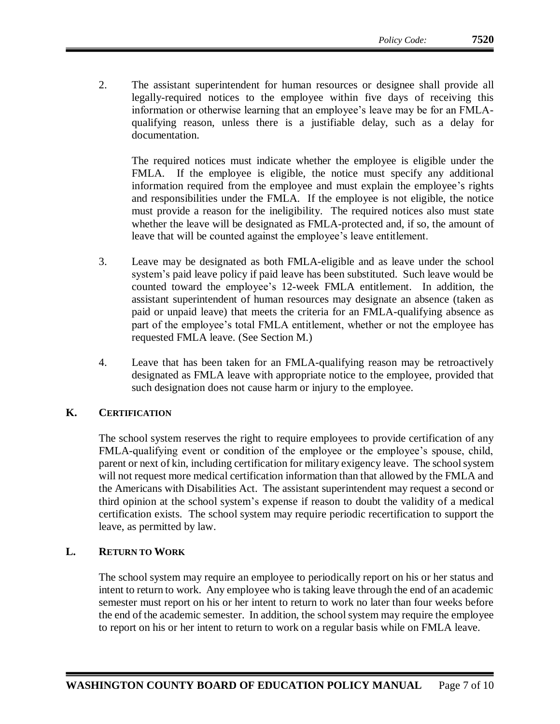2. The assistant superintendent for human resources or designee shall provide all legally-required notices to the employee within five days of receiving this information or otherwise learning that an employee's leave may be for an FMLAqualifying reason, unless there is a justifiable delay, such as a delay for documentation.

The required notices must indicate whether the employee is eligible under the FMLA. If the employee is eligible, the notice must specify any additional information required from the employee and must explain the employee's rights and responsibilities under the FMLA. If the employee is not eligible, the notice must provide a reason for the ineligibility. The required notices also must state whether the leave will be designated as FMLA-protected and, if so, the amount of leave that will be counted against the employee's leave entitlement.

- 3. Leave may be designated as both FMLA-eligible and as leave under the school system's paid leave policy if paid leave has been substituted. Such leave would be counted toward the employee's 12-week FMLA entitlement. In addition, the assistant superintendent of human resources may designate an absence (taken as paid or unpaid leave) that meets the criteria for an FMLA-qualifying absence as part of the employee's total FMLA entitlement, whether or not the employee has requested FMLA leave. (See Section M.)
- 4. Leave that has been taken for an FMLA-qualifying reason may be retroactively designated as FMLA leave with appropriate notice to the employee, provided that such designation does not cause harm or injury to the employee.

# **K. CERTIFICATION**

The school system reserves the right to require employees to provide certification of any FMLA-qualifying event or condition of the employee or the employee's spouse, child, parent or next of kin, including certification for military exigency leave. The school system will not request more medical certification information than that allowed by the FMLA and the Americans with Disabilities Act. The assistant superintendent may request a second or third opinion at the school system's expense if reason to doubt the validity of a medical certification exists. The school system may require periodic recertification to support the leave, as permitted by law.

# **L. RETURN TO WORK**

The school system may require an employee to periodically report on his or her status and intent to return to work. Any employee who is taking leave through the end of an academic semester must report on his or her intent to return to work no later than four weeks before the end of the academic semester. In addition, the school system may require the employee to report on his or her intent to return to work on a regular basis while on FMLA leave.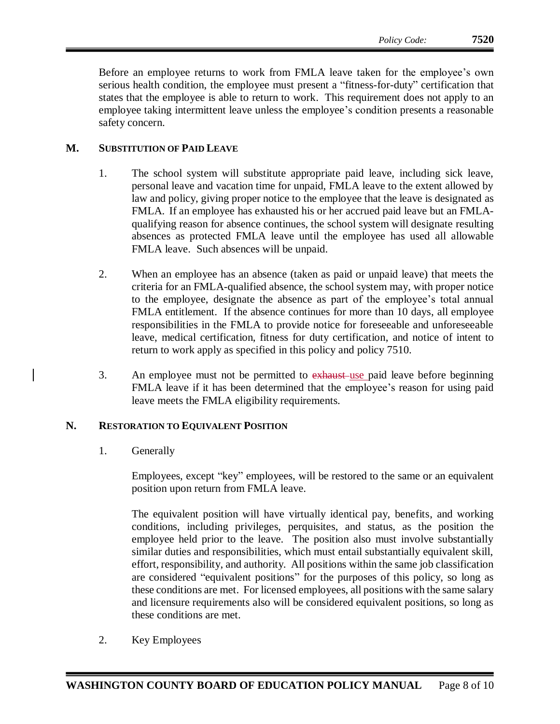Before an employee returns to work from FMLA leave taken for the employee's own serious health condition, the employee must present a "fitness-for-duty" certification that states that the employee is able to return to work. This requirement does not apply to an employee taking intermittent leave unless the employee's condition presents a reasonable safety concern.

# **M. SUBSTITUTION OF PAID LEAVE**

- 1. The school system will substitute appropriate paid leave, including sick leave, personal leave and vacation time for unpaid, FMLA leave to the extent allowed by law and policy, giving proper notice to the employee that the leave is designated as FMLA.If an employee has exhausted his or her accrued paid leave but an FMLAqualifying reason for absence continues, the school system will designate resulting absences as protected FMLA leave until the employee has used all allowable FMLA leave. Such absences will be unpaid.
- 2. When an employee has an absence (taken as paid or unpaid leave) that meets the criteria for an FMLA-qualified absence, the school system may, with proper notice to the employee, designate the absence as part of the employee's total annual FMLA entitlement. If the absence continues for more than 10 days, all employee responsibilities in the FMLA to provide notice for foreseeable and unforeseeable leave, medical certification, fitness for duty certification, and notice of intent to return to work apply as specified in this policy and policy 7510.
- 3. An employee must not be permitted to exhaust use paid leave before beginning FMLA leave if it has been determined that the employee's reason for using paid leave meets the FMLA eligibility requirements.

#### **N. RESTORATION TO EQUIVALENT POSITION**

1. Generally

Employees, except "key" employees, will be restored to the same or an equivalent position upon return from FMLA leave.

The equivalent position will have virtually identical pay, benefits, and working conditions, including privileges, perquisites, and status, as the position the employee held prior to the leave. The position also must involve substantially similar duties and responsibilities, which must entail substantially equivalent skill, effort, responsibility, and authority. All positions within the same job classification are considered "equivalent positions" for the purposes of this policy, so long as these conditions are met. For licensed employees, all positions with the same salary and licensure requirements also will be considered equivalent positions, so long as these conditions are met.

2. Key Employees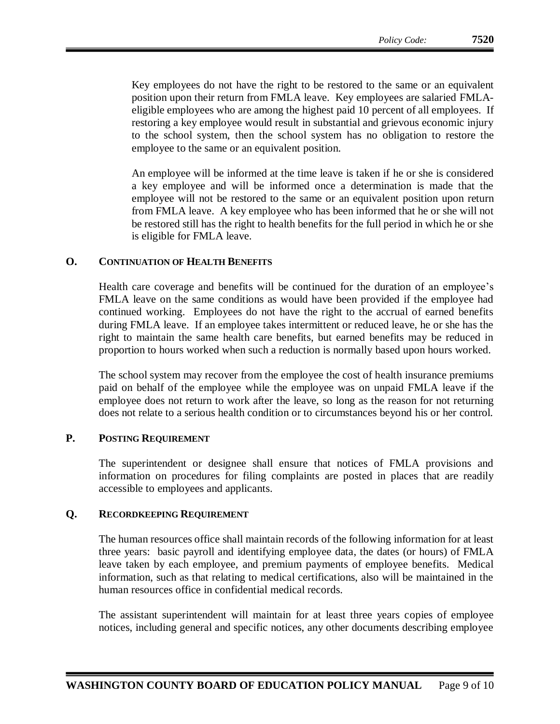Key employees do not have the right to be restored to the same or an equivalent position upon their return from FMLA leave. Key employees are salaried FMLAeligible employees who are among the highest paid 10 percent of all employees. If restoring a key employee would result in substantial and grievous economic injury to the school system, then the school system has no obligation to restore the employee to the same or an equivalent position.

An employee will be informed at the time leave is taken if he or she is considered a key employee and will be informed once a determination is made that the employee will not be restored to the same or an equivalent position upon return from FMLA leave. A key employee who has been informed that he or she will not be restored still has the right to health benefits for the full period in which he or she is eligible for FMLA leave.

### **O. CONTINUATION OF HEALTH BENEFITS**

Health care coverage and benefits will be continued for the duration of an employee's FMLA leave on the same conditions as would have been provided if the employee had continued working. Employees do not have the right to the accrual of earned benefits during FMLA leave. If an employee takes intermittent or reduced leave, he or she has the right to maintain the same health care benefits, but earned benefits may be reduced in proportion to hours worked when such a reduction is normally based upon hours worked.

The school system may recover from the employee the cost of health insurance premiums paid on behalf of the employee while the employee was on unpaid FMLA leave if the employee does not return to work after the leave, so long as the reason for not returning does not relate to a serious health condition or to circumstances beyond his or her control.

### **P. POSTING REQUIREMENT**

The superintendent or designee shall ensure that notices of FMLA provisions and information on procedures for filing complaints are posted in places that are readily accessible to employees and applicants.

#### **Q. RECORDKEEPING REQUIREMENT**

The human resources office shall maintain records of the following information for at least three years: basic payroll and identifying employee data, the dates (or hours) of FMLA leave taken by each employee, and premium payments of employee benefits. Medical information, such as that relating to medical certifications, also will be maintained in the human resources office in confidential medical records.

The assistant superintendent will maintain for at least three years copies of employee notices, including general and specific notices, any other documents describing employee